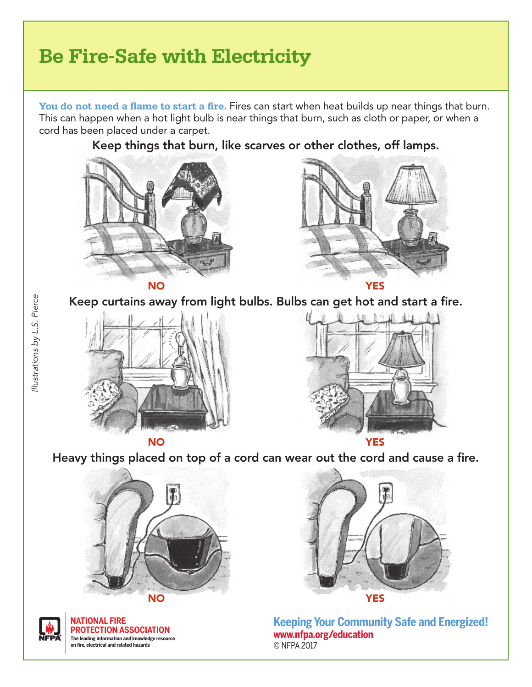## **Be Fire-Safe with Electricity**

**You do not need a flame to start a fire.** Fires can start when heat builds up near things that burn. This can happen when a hot light bulb is near things that burn, such as cloth or paper, or when a cord has been placed under a carpet.

Keep things that burn, like scarves or other clothes, off lamps.





Keep curtains away from light bulbs. Bulbs can get hot and start a fire.





Heavy things placed on top of a cord can wear out the cord and cause a fire.





**NATIONAL FIRE PROTECTION ASSOCIATION The leading information and knowledge resource on fire, electrical and related hazards**



**Keeping Your Community Safe and Energized! www.nfpa.org/education** © NFPA 2017